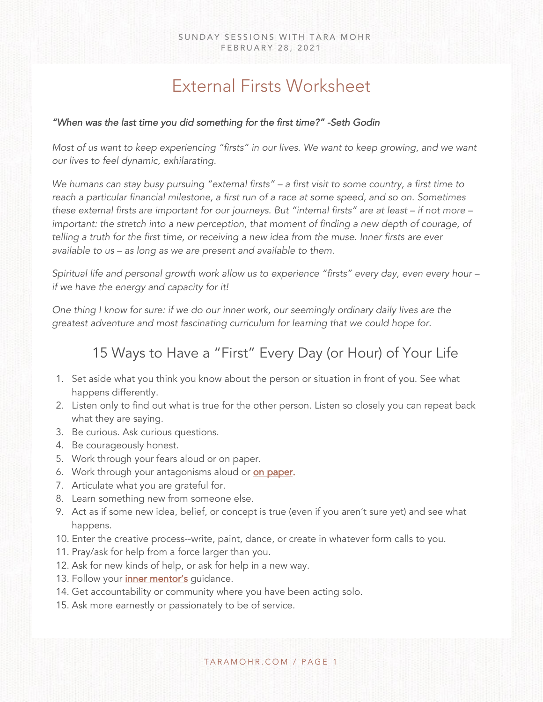## External Firsts Worksheet

## *"When was the last time you did something for the first time?" -Seth Godin*

*Most of us want to keep experiencing "firsts" in our lives. We want to keep growing, and we want our lives to feel dynamic, exhilarating.* 

*We humans can stay busy pursuing "external firsts" – a first visit to some country, a first time to reach a particular financial milestone, a first run of a race at some speed, and so on. Sometimes these external firsts are important for our journeys. But "internal firsts" are at least – if not more – important: the stretch into a new perception, that moment of finding a new depth of courage, of telling a truth for the first time, or receiving a new idea from the muse. Inner firsts are ever available to us – as long as we are present and available to them.* 

*Spiritual life and personal growth work allow us to experience "firsts" every day, even every hour – if we have the energy and capacity for it!* 

*One thing I know for sure: if we do our inner work, our seemingly ordinary daily lives are the greatest adventure and most fascinating curriculum for learning that we could hope for.* 

## 15 Ways to Have a "First" Every Day (or Hour) of Your Life

- 1. Set aside what you think you know about the person or situation in front of you. See what happens differently.
- 2. Listen only to find out what is true for the other person. Listen so closely you can repeat back what they are saying.
- 3. Be curious. Ask curious questions.
- 4. Be courageously honest.
- 5. Work through your fears aloud or on paper.
- 6. Work through your antagonisms aloud or **[on paper](https://www.taramohr.com/sunday-sessions/feb-21-2021/)**.
- 7. Articulate what you are grateful for.
- 8. Learn something new from someone else.
- 9. Act as if some new idea, belief, or concept is true (even if you aren't sure yet) and see what happens.
- 10. Enter the creative process--write, paint, dance, or create in whatever form calls to you.
- 11. Pray/ask for help from a force larger than you.
- 12. Ask for new kinds of help, or ask for help in a new way.
- 13. Follow your *inner mentor's* guidance.
- 14. Get accountability or community where you have been acting solo.
- 15. Ask more earnestly or passionately to be of service.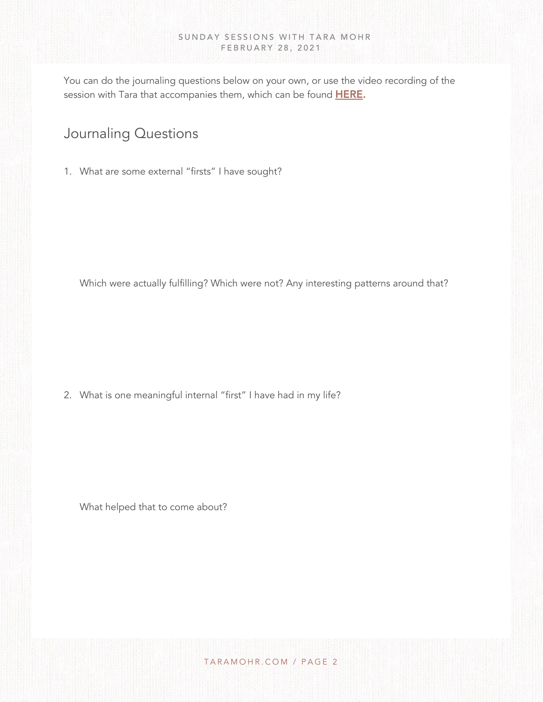You can do the journaling questions below on your own, or use the video recording of the session with Tara that accompanies them, which can be found **HERE**.

## Journaling Questions

1. What are some external "firsts" I have sought?

Which were actually fulfilling? Which were not? Any interesting patterns around that?

2. What is one meaningful internal "first" I have had in my life?

What helped that to come about?